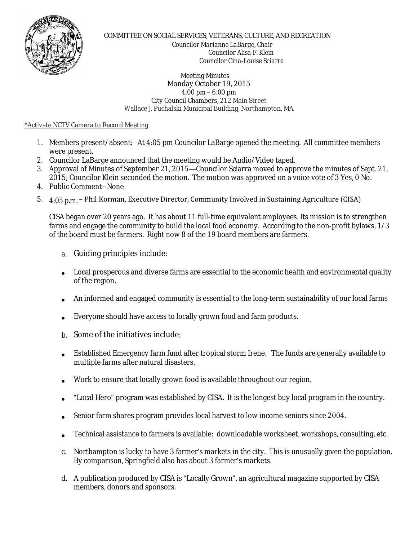

COMMITTEE ON SOCIAL SERVICES, VETERANS, CULTURE, AND RECREATION

 *Councilor Marianne LaBarge, Chair Councilor Alisa F. Klein Councilor Gina-Louise Sciarra*

 Meeting Minutes Monday October 19, 2015 4:00 pm – 6:00 pm City Council Chambers, 212 Main Street Wallace J. Puchalski Municipal Building, Northampton, MA

## \*Activate NCTV Camera to Record Meeting

- 1. Members present/absent: At 4:05 pm Councilor LaBarge opened the meeting. All committee members were present.
- 2. Councilor LaBarge announced that the meeting would be Audio/Video taped.
- 3. Approval of Minutes of September 21, 2015—Councilor Sciarra moved to approve the minutes of Sept. 21, 2015; Councilor Klein seconded the motion. The motion was approved on a voice vote of 3 Yes, 0 No.
- 4. Public Comment--None
- 5. *4:05 p.m.*  Phil Korman, Executive Director, Community Involved in Sustaining Agriculture (CISA)

CISA began over 20 years ago. It has about 11 full-time equivalent employees. Its mission is to strengthen farms and engage the community to build the local food economy. According to the non-profit bylaws, 1/3 of the board must be farmers. Right now 8 of the 19 board members are farmers.

- a. Guiding principles include:
- Local prosperous and diverse farms are essential to the economic health and environmental quality of the region.
- An informed and engaged community is essential to the long-term sustainability of our local farms
- Everyone should have access to locally grown food and farm products.
- b. Some of the initiatives include:
- Established Emergency farm fund after tropical storm Irene. The funds are generally available to multiple farms after natural disasters.
- Work to ensure that locally grown food is available throughout our region.
- "Local Hero" program was established by CISA. It is the longest buy local program in the country.
- Senior farm shares program provides local harvest to low income seniors since 2004.
- Technical assistance to farmers is available: downloadable worksheet, workshops, consulting, etc.
- c. Northampton is lucky to have 3 farmer's markets in the city. This is unusually given the population. By comparison, Springfield also has about 3 farmer's markets.
- d. A publication produced by CISA is "Locally Grown", an agricultural magazine supported by CISA members, donors and sponsors.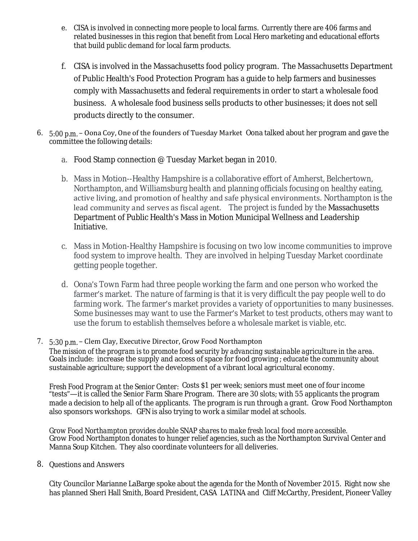- e. CISA is involved in connecting more people to local farms. Currently there are 406 farms and related businesses in this region that benefit from Local Hero marketing and educational efforts that build public demand for local farm products.
- f. CISA is involved in the Massachusetts food policy program. The Massachusetts Department of Public Health's Food Protection Program has a guide to help farmers and businesses comply with Massachusetts and federal requirements in order to start a wholesale food business. A wholesale food business sells products to other businesses; it does not sell products directly to the consumer.
- 6. *5:00 p.m.*  Oona Coy, One of the founders of Tuesday Market Oona talked about her program and gave the committee the following details:
	- a. Food Stamp connection @ Tuesday Market began in 2010.
	- b. Mass in Motion--Healthy Hampshire is a collaborative effort of Amherst, Belchertown, Northampton, and Williamsburg health and planning officials focusing on healthy eating, active living, and promotion of healthy and safe physical environments. Northampton is the lead community and serves as fiscal agent. The project is funded by the Massachusetts Department of Public Health's Mass in Motion Municipal Wellness and Leadership Initiative.
	- c. Mass in Motion-Healthy Hampshire is focusing on two low income communities to improve food system to improve health. They are involved in helping Tuesday Market coordinate getting people together.
	- d. Oona's Town Farm had three people working the farm and one person who worked the farmer's market. The nature of farming is that it is very difficult the pay people well to do farming work. The farmer's market provides a variety of opportunities to many businesses. Some businesses may want to use the Farmer's Market to test products, others may want to use the forum to establish themselves before a wholesale market is viable, etc.

## 7. *5:30 p.m.* – Clem Clay, Executive Director, Grow Food Northampton *The mission of the program is to promote food security by advancing sustainable agriculture in the area.* Goals include: increase the supply and access of space for food growing ; educate the community about sustainable agriculture; support the development of a vibrant local agricultural economy.

*Fresh Food Program at the Senior Center:* Costs \$1 per week; seniors must meet one of four income "tests"—it is called the Senior Farm Share Program. There are 30 slots; with 55 applicants the program made a decision to help all of the applicants. The program is run through a grant. Grow Food Northampton also sponsors workshops. GFN is also trying to work a similar model at schools.

*Grow Food Northampton provides double SNAP shares to make fresh local food more accessible.* Grow Food Northampton donates to hunger relief agencies, such as the Northampton Survival Center and Manna Soup Kitchen. They also coordinate volunteers for all deliveries.

8. Questions and Answers

City Councilor Marianne LaBarge spoke about the agenda for the Month of November 2015. Right now she has planned Sheri Hall Smith, Board President, CASA LATINA and Cliff McCarthy, President, Pioneer Valley